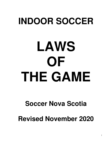## **INDOOR SOCCER**

# **LAWS OF THE GAME**

### **Soccer Nova Scotia**

**Revised November 2020**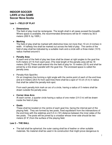#### **INDOOR SOCCER LAWS of the GAME Soccer Nova Scotia**

#### **Law 1 – FIELD OF PLAY**

#### **Dimensions**

The field of play must be rectangular. The length shall in all cases exceed the breadth. Where space is available, the recommended dimensions will be 61 meters by 30.5 meters (200 ft. by 100ft.)

#### **Marking**

The field of play shall be marked with distinctive lines not more than 10 cm (4 inches) in width. A halfway line shall be marked out across the field of play. The centre of the field of play shall be indicated by a suitable mark and a circle with a three-meter (10 ft) radius marked around it.

#### **Penalty Area**

At each end of the field of play two lines shall be drawn at right angles to the goal line 6.25 meters (21 ft) from each post. [The total length of the penalty area will be 18 meters (59 ft)] These shall extend into the field of play for 10 meters (33 ft) and shall be joined by a line drawn parallel with the goal-line. The enclosed space is called the penalty area.

#### • Penalty-Kick Spot/Arc

On an imaginary line forming a right angle with the centre point of each of the end lines and at 9 meters (29.5 ft) from said lines there shall be a spot of 10 cm (4 in) in radius that shall be called the penalty-kick spot.

From each penalty kick mark an arc of a circle, having a radius of 5 meters shall be drawn outside the penalty area.

#### **Corner Area Arcs**

At each corner, a quarter circle having a radius of one meter (3 ft 3 in) will be drawn inside the field of play.

#### **Goals**

These shall be located on the centre of each goal line, facing the internal part of the playing field. They are formed by two posts, fixed equidistant from the intersections of the end lines with the sidelines and 5.5 m (18') distance between the inner sides of the two posts. The posts will be joined by a crossbar whose inner side should be two meters (6' 6") from the surface of the playing field.

#### **Law 2 – THE BALL**

• The ball shall be spherical; the outer casing shall be of leather or other suitable materials. No material shall be used in its construction that might prove dangerous to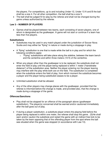the players. For competitions, up to and including Under-12, Under 13 A and B the ball shall be a size 4. For all other competition, the ball shall be a size 5.

 The ball shall be judged fit for play by the referee and shall not be changed during the game unless authorized by the referee.

#### **Law 3 – NUMBER OF PLAYERS**

 Games shall be played between two teams, each consisting of seven players, one of whom is designated as the goalkeeper. A game will not start or continue if a team has less than five players.

#### **Substitutions**

- Substitutes may be used in any match played under the jurisdiction of Soccer Nova Scotia and may either be "flying" in nature or made during a stoppage in play.
- A "flying" substitution is one that is made while the ball is in play and for which the following conditions apply:
	- $\circ$  "Flying" substitutions will take place along the sideline, between the team bench and the centerline and within three meters (10 ft) of the centerline.
- When any player other than the goalkeeper is to be replaced, the substitute shall not enter the field of play until the player being replaced is within 1 meter ("handshake distance") of the substitution area. Neither the player entering nor the player leaving may interfere with the play while both are on the field. The substitution is completed when the substitute enters the field of play, from which moment the substitute becomes a player and the player being substituted ceases to be a player.
- Unlimited substitution shall be allowed.
- Any of the other players may change places with the goalkeeper, provided that the referee is informed before the change is made, and provided also, that the change is made during a stoppage of the game.

#### **Offences/Sanctions**

- Play shall not be stopped for an offence of the paragraph above (goalkeeper substitution). The player(s) concerned shall be warned and/or cautioned immediately after the ball goes out of play.
- If during a player substitution, a substitute player enters the playing field before the player being replaced is within one meter, the referee shall stop the game. (S)He shall warn and/or caution the substitute and restart the game with an indirect free kick to be taken by the team opposing that of the offending player from the spot where the ball was situated when the game was stopped (in accordance with Law 13).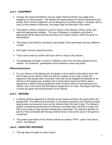#### **Law 4 – EQUIPMENT**

- A player will not be permitted to use any object that the referee may judge to be dangerous to other players. The referee will require players to remove equipment and jewelry that in his/her judgement can be dangerous to another player. If a player fails to carry out the referee's instruction, the player shall not take part in the match.
- The player's uniform consists of a shirt of long or short sleeves, shorts, socks, shin pads and appropriate footwear. The use of footwear is mandatory and what is appropriate will be determined by the laws of the indoor facility in which the game is being played.
- The players' shirt shall be numbered, each player of the same team having a different number.
- Shin pads must be covered by socks.
- Team colors shall not conflict with each other or those of the referee.
- The goalkeeper will wear a uniform of different color from the other players and the referee. For protection, goalkeepers will be allowed to wear long pants.

#### **Offences/Sanctions**

 For any offence of this playing law, the player at fault shall be instructed to leave the field of play by the referee, when the ball next ceases to be in play, unless the equipment has already been corrected. Play shall not be stopped immediately for an offence of this playing law. A player who is instructed to leave the field to adjust equipment or obtain missing equipment shall not return without first reporting to the referee, who must ensure that the player's equipment is in order. The player shall only re-enter the game with the permission of the referee.

#### **Law 5 – REFEREE**

- A referee shall be appointed to officiate at each game and direct the game within the playing field. The authority and exercise of the powers granted to the referee by these playing laws commence as soon as the referee enters the field of play. The referee's powers of penalizing shall extend to offences committed when the ball is in play, the ball is out of play or play has been temporarily suspended. The referee's decision on points of fact connected with the play shall be final, so far as the result of the game is concerned.
- The powers and duties of the referee shall be as stated in FIFA: Laws of the Game, Law 5 - the Referee.

#### **Law 6 – ASSISTANT REFEREES**

• This law does not apply to indoor soccer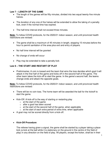#### **Law 7 – LENGTH OF THE GAME**

- The length of the games will be fifty minutes, divided into two equal twenty-five minute halves.
- The duration of any one of the halves will be extended to allow the taking of a penalty kick, even if the normal time has expired.
- The half-time interval shall not exceed three minutes.

**Note:** To follow COVID protocols, for the 2020/21 indoor season, and until provincial health restrictions are revised:

- The game shall be a maximum of 45 minutes in length, stopping 15 minutes before the hour to permit sanitation of the area plus exit and entry of players.
- No half time interval will be granted
- No change of ends will occur
- Play may be extended to take a penalty kick

#### **Law 8 – THE START AND RESTART OF PLAY**

 Preliminaries: A coin is tossed and the team that wins the toss decides which goal it will attack in the first half of the game and kicks off in the second half of the game. The other team takes the kick-off to start the game. In the game's second half, the teams change ends and attack the opposite goals.

**Note:** To follow COVID protocols, for the 2020/21 indoor season, and until provincial health restrictions are revised:

- There will be no coin toss. The home team will be awarded the ball for the kickoff to start the game.
- Kick-Off: A kick-off is the way of starting or restarting play
	- $\circ$  at the start of the game
	- o after a goal has been scored
	- $\circ$  at the start of the second half of the game, when applicable
	- $\circ$  at the start of each extra period of extra time, when applicable
- A goal may not be scored directly from a kick-off.

#### **Kick-Off Procedure**:

The referee having given a signal, the game shall be started by a player taking a place kick (a kick at the ball while it is stationary on the ground in the centre of the field of play) in any direction on the field of play. All players, except the kicker, shall be in their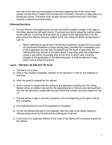own half of the field and every player of the team opposing that of the kicker shall remain not less than 5 meters from the ball until it is kicked. The ball is in play when it is kicked and moves. The kicker shall not play the ball a second time until it has been touched or played by another player.

#### **Offences/Sanctions**

- For any offence of this playing law, the kick-off shall be retaken, except in the case of the kicker playing the ball again before it has been touched or played by another player; for this offence, a free kick shall be taken by a player of the opposing team from the place where the offence occurred, subject to the over-riding conditions as described in Law 13.
	- $\circ$  When restarting the game after a temporary suspension of play from any cause not mentioned elsewhere in these playing laws, provided that immediately prior to the suspension the ball had not passed over the touch or goal lines, the referee shall drop the ball at the place where it was when play was suspended, unless it was within the penalty area at that time, in which case it shall be dropped to the goalkeeper of the defending team. It shall be deemed in play when it has touched the ground.

#### **Law 9 – THE BALL IN AND OUT OF PLAY**

- The ball is out of play:
- a) when it has crossed completely, whether on the ground or in the air, the sidelines or end lines;
- b) when the game is stopped by the referee;
- c) when it comes in contact with the ceiling or any apparatus hanging from the ceiling Restart will be an indirect free kick for the opposing team of the one who last touched it. The kick will take place underneath the spot where the contact occurred, subject to Law 13.
- The ball will be in play on all other occasions, from the beginning of the game until its end, including:
- a) if the ball bounces off one of the goalposts or crossbars;
- b) if it hits the referee and play is not impacted. See the Laws of the Game related to referees being struck by the ball and the subsequent drop ball.
- c) in the event of a supposed offence of the Laws of the Game until a decision is given by the referee.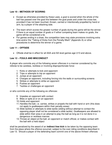#### **Law 10 – METHODS OF SCORING**

- Except as otherwise provided by these Laws, a goal is scored when the whole of the ball has passed over the goal line between the goal posts and under the cross-bar, provided it has not been touched, thrown, carried or intentionally propelled by hand or arm, by a player of the attacking side.
- The team which scores the greater number of goals during the game will be the winner. If there is an equal number of goals or if either competing team makes no goals, the game will be considered a tie.
- For games ending in a draw, the competition laws may state provisions involving extra time and/or the "Taking of Kicks from the Penalty Mark" (Appendix A) or other procedures to determine the winner of a game.

#### **Law 11 – OFFSIDE**

Offside shall be in effect for all AAA and AA level games age U13 and above.

#### **Law 12 – FOULS AND MISCONDUCT**

A player who commits any of the following seven offences in a manner considered by the referee to be careless, reckless or involving disproportionate force:

- 1. Kicks or attempts to kick and opponent
- 2. Trips or attempts to trip an opponent
- 3. Jumps at an opponent
- 4. Charges an opponent, including forcing into the walls or surrounding screens
- 5. Strikes or attempts to strike an opponent
- 6. Pushes an opponent
- 7. Tackles or challenges an opponent

or who commits any of the following six offences:

- 8. Impedes an opponent with contact
- 9. Bites or spits at or on an opponent
- 10. Holds and opponent
- 11. Handles the ball, i.e. carries, strikes or propels the ball with hand or arm (this does not apply to goalkeepers within their penalty areas)
- 12. Slide tackles or attempts to slide tackle (sliding without attempt to contact the opposing player shall not be considered a slide tackle). Goalkeepers are allowed to slide within their area in an attempt to play the ball as long as it is not done in a dangerous or reckless manner.
- 13. Throws an object at the ball, an opponent or match official, or makes contact with the ball with a held object

shall be penalized by the award of an **indirect free kick** to be taken by the opposing team from the place where the offence occurred, subject to the over-riding conditions described in Law 13. Should a player of the defending team commit one of the above thirteen offences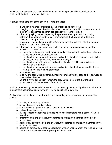within the penalty area, the player shall be penalized by a penalty kick, regardless of the position of the ball, as long as it is in play.

A player committing any of the seven following offences:

- 1. playing in a manner considered by the referee to be dangerous
- 2. charging fairly, i.e. with the shoulder, when the ball is not within playing distance of the players concerned and they are definitely not trying to play it
- 3. when not playing the ball, impeding the progress of an opponent, i.e. running between the opponent and the ball, or interposing the body so as to form an obstacle to an opponent
- 4. moving with the goalkeeper while he/she is holding the ball in an effort to prevent the goalkeeper from releasing it
- 5. when playing as a goalkeeper and within the penalty area commits any of the following five offences:
	- a. takes more than six seconds while controlling the ball with his/her hands, before releasing it from his/her possession
	- b. touches the ball again with his/her hands after it has been released from his/her possession and has not touched any other player
	- c. touches the ball with his/her hands after it has been deliberately kicked to him/her by a teammate
	- d. touches the ball again with his/her hands after it he/she has received it directly from a throw-in taken by a teammate
	- e. wastes time
- 6. Is guilty of dissent, using offensive, insulting, or abusive language and/or gestures or other verbal offences
- 7. During a "flying substitution" enters the playing field before the player being substitutes is within one meter of the touch line.

shall be penalized by the award of a free kick to be taken by the opposing side from where the infringement occurred, subject to the over-riding conditions of Law 13.

A player shall be cautioned and shown the yellow card if, in the opinion of the referee, the player:

- 1. is guilty of unsporting behavior
- 2. shows dissent by word or action
- 3. persistently infringes the Playing Laws of Indoor Soccer
- 4. delays the restart of play
- 5. fails to respect the required distance when play is restarted with a corner kick or a free kick
- 6. enters the field of play without the referee's permission other than in the act of substitution
- 7. deliberately leaves the field of play without the referee's permission other than in the act of substitution
- 8. denies an obvious goal scoring opportunity with an offence, when challenging for the ball inside the penalty area. A penalty kick is awarded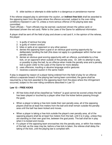9. slide tackles or attempts to slide tackle in a dangerous or persistence manner

If the referee stopped play to administer the caution, an **indirect free kick** shall be awarded to the opposing team from the place where the offence occurred, subject to the over-riding conditions imposed in Law 13, unless a more serious offence of the playing laws was committed.

Team officials – Team officials may be warned, cautioned (shown the yellow card) or dismissed (shown the red card). Refer to the Laws of the Game for additional information.

A player shall be sent off the field of play and shown a red card if, in the opinion of the referee, the player:

- 1. is guilty of serious foul play
- 2. is guilty of violent conduct
- 3. bites or spits at an opponent or any other person
- 4. denies the opposing team a goal or an obvious goal-scoring opportunity by deliberately handling the ball (this does not apply to a goalkeeper within his/her own penalty area)
- 5. denies an obvious goal-scoring opportunity with an offence, punishable by a free kick, on an opponent when outside of the penalty area. Or, with no attempt to play or possibly to play the ball, by an offence when inside the penalty area and a penalty kick is given (refer to the Laws of the Game for more details)
- 6. uses offensive, insulting or abusive language and/or gestures
- 7. receives a second caution in the same match

If play is stopped by reason of a player being ordered from the field of play for an offence without a separate breach of the playing law having been committed, the game shall be resumed by a free kick awarded to the opposing team from the place where the infringement occurred, subject to the over-riding conditions described in Law 13

#### **Law 13 – FREE KICKS**

- All free kicks shall all be classified as "indirect" (a goal cannot be scored unless the ball has been played or touched by a player other than the kicker before passing through the goal).
- When a player is taking a free kick inside their own penalty area, all of the opposing players shall be at least five meters from the ball and shall remain outside the penalty area until the ball has been kicked and moves.
- When a player is taking a free kick outside the player's own penalty area, all of the opposing players shall be at least five meters from the ball, until it is in play, unless they are standing on their own goal line, between the goal posts. The ball shall be in play when it is kicked and moves.
- If a player of the opposing team encroaches into the penalty area, or within five meters of the ball, as the case may be, before a free kick is taken, the referee shall delay the taking of the kick, until the playing law is complied with.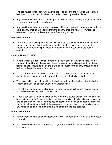- The ball must be stationary when a free kick is taken, and the kicker shall not play the ball a second time until it has been touched or played by another player.
- Any free kick awarded to the defending team, within its own penalty area, may be taken from any point within the penalty area.
- Any free kick awarded to the attacking team within its opponent's penalty area, which is not a penalty shot, shall be taken from the penalty-area line nearest to where the offence occurred and at least one meter from the goal line.

#### **Offences/Sanctions**

• If the kicker, after taking the free kick, plays the ball a second time before it has been touched by another player, an indirect free kick shall be taken by a player of the opposing team from the spot where the offence occurred, subject to the above guidelines.

#### **Law 14 – PENALTY KICK**

- A penalty kick is a free kick taken from the penalty spot on the playing field. At the moment of the kick, all players, with the exception of the goalkeeper and the player taking the kick, should be inside the playing field, outside the penalty area, behind the ball and at least five meters from the ball.
- The goalkeeper should take his/her position on his/her goal line and between the goalposts and may not move forward off the line until the ball is kicked.
- The player taking the kick must kick the ball forward; he/she shall not play the ball a second time until it has been touched by another player.
- The ball shall be deemed in play directly after it has been kicked and moves. A goal may be scored directly from a penalty kick.
- When a penalty kick is being taken during the normal course of play, or when time has been extended at half-time or full time to allow a penalty kick to be taken or retaken, a goal shall not be nullified if, before passing between the posts and under the crossbar, the ball touches either or both of the goalposts, or the crossbar, or the goalkeeper, or any combination of these, providing that no other offence has occurred.

#### **Offences/Sanctions**

- For an offence by the defending team, the kick will be repeated, if the kick did not result in a goal.
- For an offence by the attacking team, if a goal is scored it will be disallowed and the kick retaken.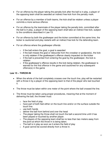- For an offence by the player taking the penalty kick after the ball is in play, a player of the opposing team shall be awarded an indirect free kick from the penalty mark.
- For an offence by a member of both teams, the kick shall be retaken unless a player commits a more serious offence.
- For an offence by the teammate of the player taking the penalty kick, committed after the ball is in play, a player of the opposing team shall take an indirect free kick, subject to the conditions described in Law 13.
- For an offence by both the goalkeeper and the kicker committed at the same time, the kicker is cautioned and play restarts with an indirect free kick for the defending team.
- For an offence where the goalkeeper offends:
	- $\circ$  if the ball enters the goal, a goal is awarded
	- $\circ$  if the ball misses the goal or rebounds from the crossbar or goalpost(s), the kick is only retaken if the goalkeeper's offence clearly impacted on the kicker
	- $\circ$  if the ball is prevented from entering the goal by the goalkeeper, the kick is retaken
	- $\circ$  If the goalkeeper's offence results in the kick being retaken, the goalkeeper is warned for the first offence in the game and cautioned for any subsequent offence(s) in the game

#### **Law 15 – THROW-IN**

- When the whole of the ball completely crosses over the touch line, play will be restarted with a throw-in by a player of the opposing team to that of the player who last touched it.
- The throw must be taken within one meter of the point where the ball crossed the line.
- The throw must be taken using proper procedures, meaning that at the moment of delivering the ball, the thrower must:
	- $\circ$  face the field of play
	- o have part of both feet either on the touch line and/or on the surface outside the touch line.
	- o use both hands
	- $\circ$  deliver the ball from behind and over the head
	- $\circ$  The player taking the throw shall not touch the ball a second time until it has been played or touched by another player.
	- $\circ$  The players of the opposing team shall be no less than two meters away from the point at which the throw-in is being taken.
	- $\circ$  The ball is in play as soon as it enters the field of play
	- $\circ$  A goal cannot be scored directly from a throw-in.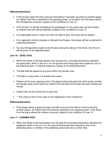#### **Offences/Sanctions**

- If the thrower plays the ball a second time before it has been touched by another player, an indirect free kick is awarded to the opposing team, to be taken from the place where the infringement occurred, subject to the conditions of Law 13.
- If the throw-in is directly handled by the goalkeeper on the same team as the thrower, an indirect free kick will be awarded, subject to the conditions of Law 13.
- If an attempted throw-in does not enter the field of play, the throw will be retaken.
- If an opponent unfairly impedes or distracts the thrower, that player will be cautioned for unsporting behavior.
- For any infringements made by the thrower during the taking of the throw, the throw-in will be given to the opposing team.

#### **Law 16 – GOAL KICK**

- When the whole of the ball passes over the goal-line, excluding that portion between the goal-posts, either in the air or on the ground and having last been played by one of the attacking team, it shall be kicked by a player of the defending team.
- The ball shall be placed at any point within the penalty area
- The ball is in play when it is kicked and moves.
- Players of the team opposing that of the player taking the goal-kick shall remain outside the penalty-area and at least five meters from the ball until the ball has been kicked and moves.
- A goal may not be scored from a goal kick.
- \*\* See notes at end of the Laws on the application of the retreat line.

#### **Offences/Sanctions**

• If the player taking a goal-kick plays the ball a second time before it has touched by another player, an indirect free kick shall be awarded to the opposing team, to be taken from the place where the offence occurred, subject to the conditions of Law 13.

#### **Law 17 – CORNER KICK**

 When the whole of the ball passes over the goal line excluding that portion between the goalposts, either in the air or on the ground having last been played by one of the defending team, a member of the attacking team shall take a corner-kick.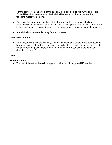- For the corner kick, the whole of the ball shall be placed on, or within, the corner arc. For facilities without corner arcs, the ball shall be placed on the spot where the touchline meets the goal line.
- Players of the team opposing that of the player taking the corner-kick shall not approach within five meters of the ball until it is in play, (kicked and moves) nor shall the kicker play the ball a second time until it has been touched or played by another player.
- A goal shall not be scored directly from a corner-kick.

#### **Offences/Sanctions**

• If the player who takes the kick plays the ball a second time before it has been touched by another player, the referee shall award an indirect free-kick to the opposing team, to be taken from the place where the infringement occurred, subject to the conditions described in Law 13.

#### **Note:**

#### **The Retreat line**

• The use of the retreat line will be applied in all levels of the game U13 and below.